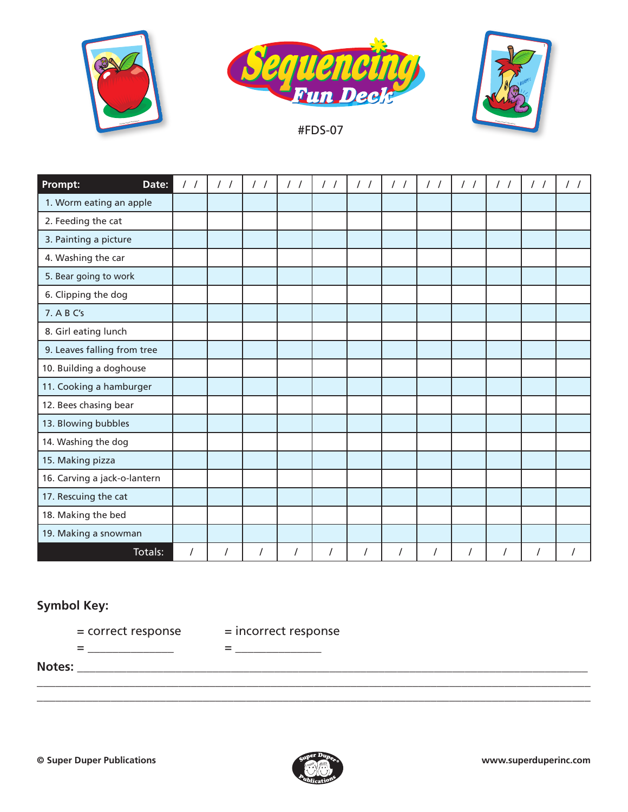





#FDS-07

| Prompt:<br>Date:             | $\frac{1}{2}$ | $\frac{1}{2}$ | $\frac{1}{2}$ | $\frac{1}{2}$  | $\frac{1}{2}$        | $\frac{1}{2}$ | $\frac{1}{2}$ | $\frac{1}{2}$        | $\frac{1}{2}$        | $\frac{1}{2}$ | $\frac{1}{2}$ |  |
|------------------------------|---------------|---------------|---------------|----------------|----------------------|---------------|---------------|----------------------|----------------------|---------------|---------------|--|
| 1. Worm eating an apple      |               |               |               |                |                      |               |               |                      |                      |               |               |  |
| 2. Feeding the cat           |               |               |               |                |                      |               |               |                      |                      |               |               |  |
| 3. Painting a picture        |               |               |               |                |                      |               |               |                      |                      |               |               |  |
| 4. Washing the car           |               |               |               |                |                      |               |               |                      |                      |               |               |  |
| 5. Bear going to work        |               |               |               |                |                      |               |               |                      |                      |               |               |  |
| 6. Clipping the dog          |               |               |               |                |                      |               |               |                      |                      |               |               |  |
| 7. A B C's                   |               |               |               |                |                      |               |               |                      |                      |               |               |  |
| 8. Girl eating lunch         |               |               |               |                |                      |               |               |                      |                      |               |               |  |
| 9. Leaves falling from tree  |               |               |               |                |                      |               |               |                      |                      |               |               |  |
| 10. Building a doghouse      |               |               |               |                |                      |               |               |                      |                      |               |               |  |
| 11. Cooking a hamburger      |               |               |               |                |                      |               |               |                      |                      |               |               |  |
| 12. Bees chasing bear        |               |               |               |                |                      |               |               |                      |                      |               |               |  |
| 13. Blowing bubbles          |               |               |               |                |                      |               |               |                      |                      |               |               |  |
| 14. Washing the dog          |               |               |               |                |                      |               |               |                      |                      |               |               |  |
| 15. Making pizza             |               |               |               |                |                      |               |               |                      |                      |               |               |  |
| 16. Carving a jack-o-lantern |               |               |               |                |                      |               |               |                      |                      |               |               |  |
| 17. Rescuing the cat         |               |               |               |                |                      |               |               |                      |                      |               |               |  |
| 18. Making the bed           |               |               |               |                |                      |               |               |                      |                      |               |               |  |
| 19. Making a snowman         |               |               |               |                |                      |               |               |                      |                      |               |               |  |
| Totals:                      | $\prime$      | $\cal I$      |               | $\overline{I}$ | $\sqrt{\phantom{a}}$ | $\cal I$      | /             | $\sqrt{\phantom{a}}$ | $\sqrt{\phantom{a}}$ |               | $\cal I$      |  |

## **Symbol Key:**

= \_\_\_\_\_\_\_\_\_\_\_\_\_\_ = \_\_\_\_\_\_\_\_\_\_\_\_\_\_

= correct response = incorrect response

**Notes:** \_\_\_\_\_\_\_\_\_\_\_\_\_\_\_\_\_\_\_\_\_\_\_\_\_\_\_\_\_\_\_\_\_\_\_\_\_\_\_\_\_\_\_\_\_\_\_\_\_\_\_\_\_\_\_\_\_\_\_\_\_\_\_\_\_\_\_\_\_\_\_\_\_\_\_\_\_\_\_\_\_\_\_



\_\_\_\_\_\_\_\_\_\_\_\_\_\_\_\_\_\_\_\_\_\_\_\_\_\_\_\_\_\_\_\_\_\_\_\_\_\_\_\_\_\_\_\_\_\_\_\_\_\_\_\_\_\_\_\_\_\_\_\_\_\_\_\_\_\_\_\_\_\_\_\_\_\_\_\_\_\_\_\_\_\_\_\_\_\_\_\_\_\_ \_\_\_\_\_\_\_\_\_\_\_\_\_\_\_\_\_\_\_\_\_\_\_\_\_\_\_\_\_\_\_\_\_\_\_\_\_\_\_\_\_\_\_\_\_\_\_\_\_\_\_\_\_\_\_\_\_\_\_\_\_\_\_\_\_\_\_\_\_\_\_\_\_\_\_\_\_\_\_\_\_\_\_\_\_\_\_\_\_\_